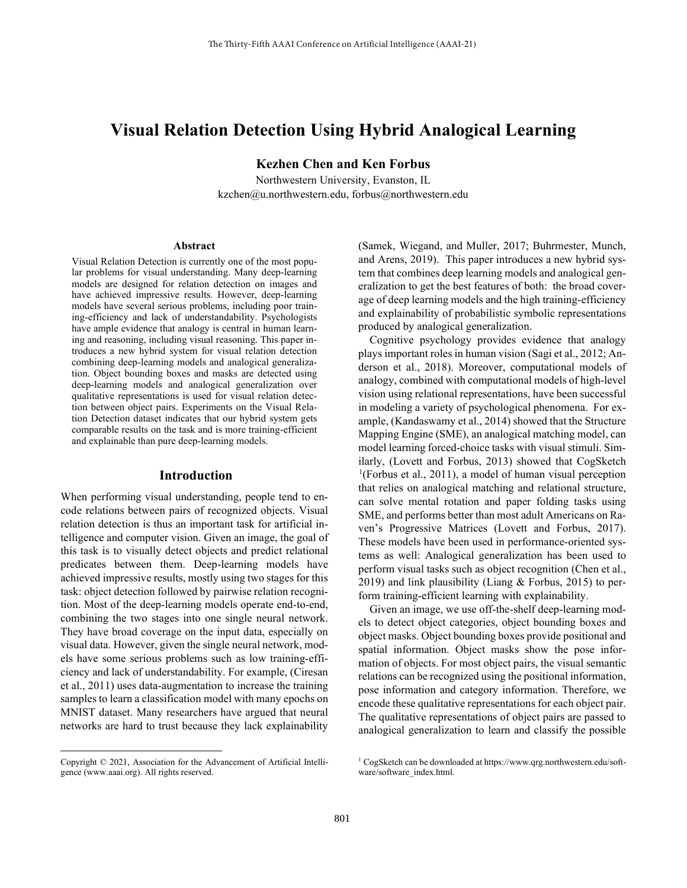# **Visual Relation Detection Using Hybrid Analogical Learning**

**Kezhen Chen and Ken Forbus**

Northwestern University, Evanston, IL kzchen@u.northwestern.edu, forbus@northwestern.edu

#### **Abstract**

Visual Relation Detection is currently one of the most popular problems for visual understanding. Many deep-learning models are designed for relation detection on images and have achieved impressive results. However, deep-learning models have several serious problems, including poor training-efficiency and lack of understandability. Psychologists have ample evidence that analogy is central in human learning and reasoning, including visual reasoning. This paper introduces a new hybrid system for visual relation detection combining deep-learning models and analogical generalization. Object bounding boxes and masks are detected using deep-learning models and analogical generalization over qualitative representations is used for visual relation detection between object pairs. Experiments on the Visual Relation Detection dataset indicates that our hybrid system gets comparable results on the task and is more training-efficient and explainable than pure deep-learning models.

#### **Introduction**

When performing visual understanding, people tend to encode relations between pairs of recognized objects. Visual relation detection is thus an important task for artificial intelligence and computer vision. Given an image, the goal of this task is to visually detect objects and predict relational predicates between them. Deep-learning models have achieved impressive results, mostly using two stages for this task: object detection followed by pairwise relation recognition. Most of the deep-learning models operate end-to-end, combining the two stages into one single neural network. They have broad coverage on the input data, especially on visual data. However, given the single neural network, models have some serious problems such as low training-efficiency and lack of understandability. For example, (Ciresan et al., 2011) uses data-augmentation to increase the training samples to learn a classification model with many epochs on MNIST dataset. Many researchers have argued that neural networks are hard to trust because they lack explainability

(Samek, Wiegand, and Muller, 2017; Buhrmester, Munch, and Arens, 2019). This paper introduces a new hybrid system that combines deep learning models and analogical generalization to get the best features of both: the broad coverage of deep learning models and the high training-efficiency and explainability of probabilistic symbolic representations produced by analogical generalization.

Cognitive psychology provides evidence that analogy plays important roles in human vision (Sagi et al., 2012; Anderson et al., 2018). Moreover, computational models of analogy, combined with computational models of high-level vision using relational representations, have been successful in modeling a variety of psychological phenomena. For example, (Kandaswamy et al., 2014) showed that the Structure Mapping Engine (SME), an analogical matching model, can model learning forced-choice tasks with visual stimuli. Sim[il](#page-0-0)arly, (Lovett and Forbus, 20[1](#page-0-0)3) showed that CogSketch <sup>1</sup>(Forbus et al., 2011), a model of human visual perception that relies on analogical matching and relational structure, can solve mental rotation and paper folding tasks using SME, and performs better than most adult Americans on Raven's Progressive Matrices (Lovett and Forbus, 2017). These models have been used in performance-oriented systems as well: Analogical generalization has been used to perform visual tasks such as object recognition (Chen et al., 2019) and link plausibility (Liang & Forbus, 2015) to perform training-efficient learning with explainability.

Given an image, we use off-the-shelf deep-learning models to detect object categories, object bounding boxes and object masks. Object bounding boxes provide positional and spatial information. Object masks show the pose information of objects. For most object pairs, the visual semantic relations can be recognized using the positional information, pose information and category information. Therefore, we encode these qualitative representations for each object pair. The qualitative representations of object pairs are passed to analogical generalization to learn and classify the possible

<span id="page-0-0"></span>Copyright © 2021, Association for the Advancement of Artificial Intelligence (www.aaai.org). All rights reserved.

 $^1$  CogSketch can be downloaded at https://www.qrg.northwestern.edu/software/software\_index.html.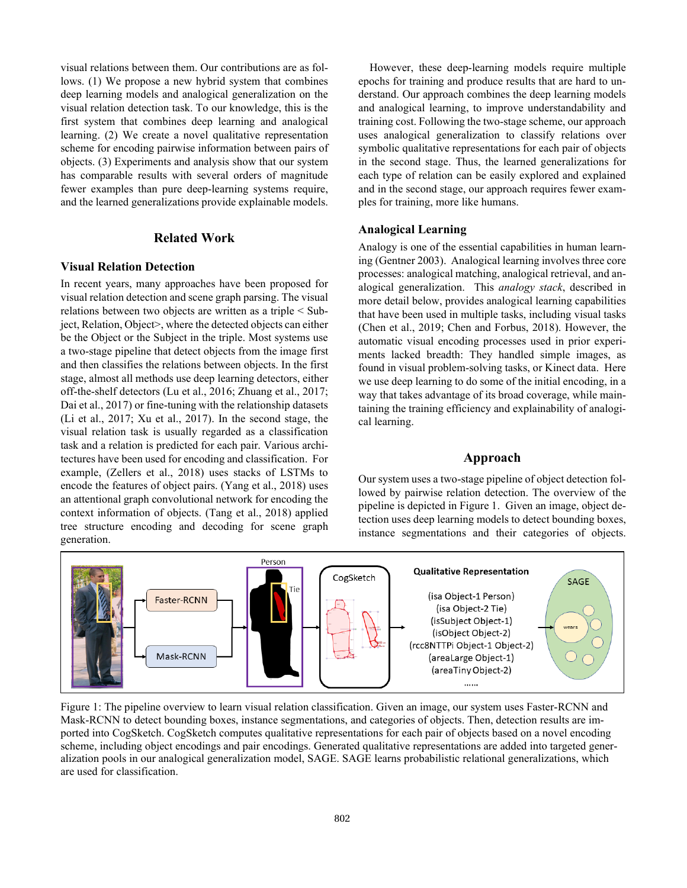visual relations between them. Our contributions are as follows. (1) We propose a new hybrid system that combines deep learning models and analogical generalization on the visual relation detection task. To our knowledge, this is the first system that combines deep learning and analogical learning. (2) We create a novel qualitative representation scheme for encoding pairwise information between pairs of objects. (3) Experiments and analysis show that our system has comparable results with several orders of magnitude fewer examples than pure deep-learning systems require, and the learned generalizations provide explainable models.

# **Related Work**

### **Visual Relation Detection**

In recent years, many approaches have been proposed for visual relation detection and scene graph parsing. The visual relations between two objects are written as a triple < Subject, Relation, Object>, where the detected objects can either be the Object or the Subject in the triple. Most systems use a two-stage pipeline that detect objects from the image first and then classifies the relations between objects. In the first stage, almost all methods use deep learning detectors, either off-the-shelf detectors (Lu et al., 2016; Zhuang et al., 2017; Dai et al., 2017) or fine-tuning with the relationship datasets (Li et al., 2017; Xu et al., 2017). In the second stage, the visual relation task is usually regarded as a classification task and a relation is predicted for each pair. Various architectures have been used for encoding and classification. For example, (Zellers et al., 2018) uses stacks of LSTMs to encode the features of object pairs. (Yang et al., 2018) uses an attentional graph convolutional network for encoding the context information of objects. (Tang et al., 2018) applied tree structure encoding and decoding for scene graph generation.

However, these deep-learning models require multiple epochs for training and produce results that are hard to understand. Our approach combines the deep learning models and analogical learning, to improve understandability and training cost. Following the two-stage scheme, our approach uses analogical generalization to classify relations over symbolic qualitative representations for each pair of objects in the second stage. Thus, the learned generalizations for each type of relation can be easily explored and explained and in the second stage, our approach requires fewer examples for training, more like humans.

### **Analogical Learning**

Analogy is one of the essential capabilities in human learning (Gentner 2003). Analogical learning involves three core processes: analogical matching, analogical retrieval, and analogical generalization. This *analogy stack*, described in more detail below, provides analogical learning capabilities that have been used in multiple tasks, including visual tasks (Chen et al., 2019; Chen and Forbus, 2018). However, the automatic visual encoding processes used in prior experiments lacked breadth: They handled simple images, as found in visual problem-solving tasks, or Kinect data. Here we use deep learning to do some of the initial encoding, in a way that takes advantage of its broad coverage, while maintaining the training efficiency and explainability of analogical learning.

# **Approach**

Our system uses a two-stage pipeline of object detection followed by pairwise relation detection. The overview of the pipeline is depicted in Figure 1. Given an image, object detection uses deep learning models to detect bounding boxes, instance segmentations and their categories of objects.



Figure 1: The pipeline overview to learn visual relation classification. Given an image, our system uses Faster-RCNN and Mask-RCNN to detect bounding boxes, instance segmentations, and categories of objects. Then, detection results are imported into CogSketch. CogSketch computes qualitative representations for each pair of objects based on a novel encoding scheme, including object encodings and pair encodings. Generated qualitative representations are added into targeted generalization pools in our analogical generalization model, SAGE. SAGE learns probabilistic relational generalizations, which are used for classification.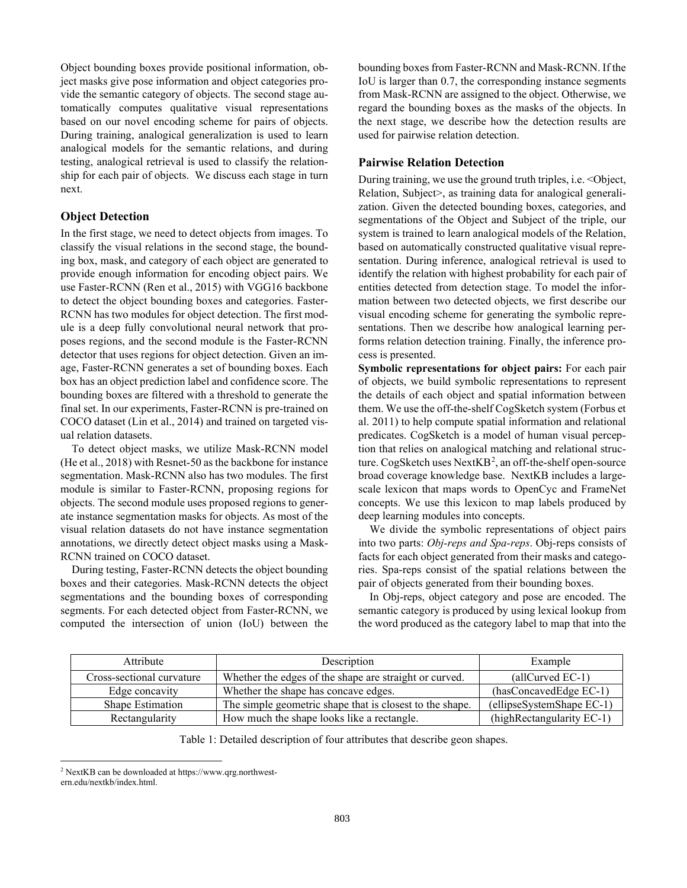Object bounding boxes provide positional information, object masks give pose information and object categories provide the semantic category of objects. The second stage automatically computes qualitative visual representations based on our novel encoding scheme for pairs of objects. During training, analogical generalization is used to learn analogical models for the semantic relations, and during testing, analogical retrieval is used to classify the relationship for each pair of objects. We discuss each stage in turn next.

# **Object Detection**

In the first stage, we need to detect objects from images. To classify the visual relations in the second stage, the bounding box, mask, and category of each object are generated to provide enough information for encoding object pairs. We use Faster-RCNN (Ren et al., 2015) with VGG16 backbone to detect the object bounding boxes and categories. Faster-RCNN has two modules for object detection. The first module is a deep fully convolutional neural network that proposes regions, and the second module is the Faster-RCNN detector that uses regions for object detection. Given an image, Faster-RCNN generates a set of bounding boxes. Each box has an object prediction label and confidence score. The bounding boxes are filtered with a threshold to generate the final set. In our experiments, Faster-RCNN is pre-trained on COCO dataset (Lin et al., 2014) and trained on targeted visual relation datasets.

To detect object masks, we utilize Mask-RCNN model (He et al., 2018) with Resnet-50 as the backbone for instance segmentation. Mask-RCNN also has two modules. The first module is similar to Faster-RCNN, proposing regions for objects. The second module uses proposed regions to generate instance segmentation masks for objects. As most of the visual relation datasets do not have instance segmentation annotations, we directly detect object masks using a Mask-RCNN trained on COCO dataset.

During testing, Faster-RCNN detects the object bounding boxes and their categories. Mask-RCNN detects the object segmentations and the bounding boxes of corresponding segments. For each detected object from Faster-RCNN, we computed the intersection of union (IoU) between the

bounding boxes from Faster-RCNN and Mask-RCNN. If the IoU is larger than 0.7, the corresponding instance segments from Mask-RCNN are assigned to the object. Otherwise, we regard the bounding boxes as the masks of the objects. In the next stage, we describe how the detection results are used for pairwise relation detection.

## **Pairwise Relation Detection**

During training, we use the ground truth triples, i.e. <Object, Relation, Subject>, as training data for analogical generalization. Given the detected bounding boxes, categories, and segmentations of the Object and Subject of the triple, our system is trained to learn analogical models of the Relation, based on automatically constructed qualitative visual representation. During inference, analogical retrieval is used to identify the relation with highest probability for each pair of entities detected from detection stage. To model the information between two detected objects, we first describe our visual encoding scheme for generating the symbolic representations. Then we describe how analogical learning performs relation detection training. Finally, the inference process is presented.

**Symbolic representations for object pairs:** For each pair of objects, we build symbolic representations to represent the details of each object and spatial information between them. We use the off-the-shelf CogSketch system (Forbus et al. 2011) to help compute spatial information and relational predicates. CogSketch is a model of human visual perception that relies on analogical matching and relational structure. CogSketch uses  $NextKB^2$  $NextKB^2$ , an off-the-shelf open-source broad coverage knowledge base. NextKB includes a largescale lexicon that maps words to OpenCyc and FrameNet concepts. We use this lexicon to map labels produced by deep learning modules into concepts.

We divide the symbolic representations of object pairs into two parts: *Obj-reps and Spa-reps*. Obj-reps consists of facts for each object generated from their masks and categories. Spa-reps consist of the spatial relations between the pair of objects generated from their bounding boxes.

In Obj-reps, object category and pose are encoded. The semantic category is produced by using lexical lookup from the word produced as the category label to map that into the

| Attribute                 | Description                                              | Example                   |
|---------------------------|----------------------------------------------------------|---------------------------|
| Cross-sectional curvature | Whether the edges of the shape are straight or curved.   | $\text{(allCurved EC-1)}$ |
| Edge concavity            | Whether the shape has concave edges.                     | (hasConcavedEdge EC-1)    |
| <b>Shape Estimation</b>   | The simple geometric shape that is closest to the shape. | (ellipseSystemShape EC-1) |
| Rectangularity            | How much the shape looks like a rectangle.               | (highRectangularity EC-1) |

Table 1: Detailed description of four attributes that describe geon shapes.

<span id="page-2-0"></span><sup>2</sup> NextKB can be downloaded at https://www.qrg.northwestern.edu/nextkb/index.html.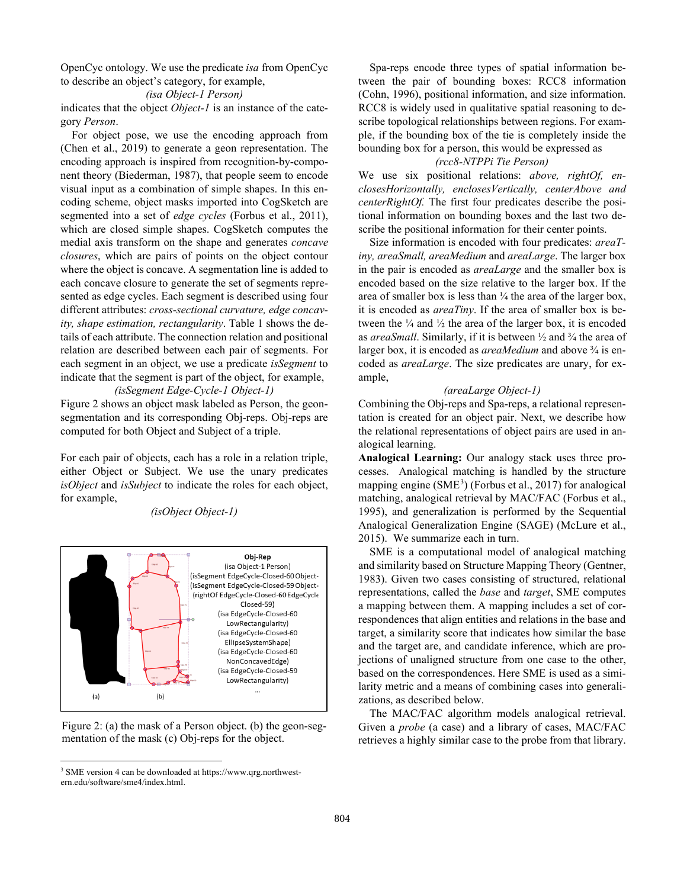OpenCyc ontology. We use the predicate *isa* from OpenCyc to describe an object's category, for example,

#### *(isa Object-1 Person)*

indicates that the object *Object-1* is an instance of the category *Person*.

For object pose, we use the encoding approach from (Chen et al., 2019) to generate a geon representation. The encoding approach is inspired from recognition-by-component theory (Biederman, 1987), that people seem to encode visual input as a combination of simple shapes. In this encoding scheme, object masks imported into CogSketch are segmented into a set of *edge cycles* (Forbus et al., 2011), which are closed simple shapes. CogSketch computes the medial axis transform on the shape and generates *concave closures*, which are pairs of points on the object contour where the object is concave. A segmentation line is added to each concave closure to generate the set of segments represented as edge cycles. Each segment is described using four different attributes: *cross-sectional curvature, edge concavity, shape estimation, rectangularity*. Table 1 shows the details of each attribute. The connection relation and positional relation are described between each pair of segments. For each segment in an object, we use a predicate *isSegment* to indicate that the segment is part of the object, for example,

# *(isSegment Edge-Cycle-1 Object-1)*

Figure 2 shows an object mask labeled as Person, the geonsegmentation and its corresponding Obj-reps. Obj-reps are computed for both Object and Subject of a triple.

For each pair of objects, each has a role in a relation triple, either Object or Subject. We use the unary predicates *isObject* and *isSubject* to indicate the roles for each object, for example,

*(isObject Object-1)*





<span id="page-3-0"></span><sup>3</sup> SME version 4 can be downloaded at https://www.qrg.northwestern.edu/software/sme4/index.html.

Spa-reps encode three types of spatial information between the pair of bounding boxes: RCC8 information (Cohn, 1996), positional information, and size information. RCC8 is widely used in qualitative spatial reasoning to describe topological relationships between regions. For example, if the bounding box of the tie is completely inside the bounding box for a person, this would be expressed as

#### *(rcc8-NTPPi Tie Person)*

We use six positional relations: *above, rightOf, enclosesHorizontally, enclosesVertically, centerAbove and centerRightOf.* The first four predicates describe the positional information on bounding boxes and the last two describe the positional information for their center points.

Size information is encoded with four predicates: *areaTiny, areaSmall, areaMedium* and *areaLarge*. The larger box in the pair is encoded as *areaLarge* and the smaller box is encoded based on the size relative to the larger box. If the area of smaller box is less than ¼ the area of the larger box, it is encoded as *areaTiny*. If the area of smaller box is between the  $\frac{1}{4}$  and  $\frac{1}{2}$  the area of the larger box, it is encoded as *areaSmall*. Similarly, if it is between ½ and ¾ the area of larger box, it is encoded as *areaMedium* and above ¾ is encoded as *areaLarge*. The size predicates are unary, for example,

## *(areaLarge Object-1)*

Combining the Obj-reps and Spa-reps, a relational representation is created for an object pair. Next, we describe how the relational representations of object pairs are used in analogical learning.

**Analogical Learning:** Our analogy stack uses three processes. Analogical matching is handled by the structure mapping engine  $(SME<sup>3</sup>)$  $(SME<sup>3</sup>)$  $(SME<sup>3</sup>)$  (Forbus et al., 2017) for analogical matching, analogical retrieval by MAC/FAC (Forbus et al., 1995), and generalization is performed by the Sequential Analogical Generalization Engine (SAGE) (McLure et al., 2015). We summarize each in turn.

SME is a computational model of analogical matching and similarity based on Structure Mapping Theory (Gentner, 1983). Given two cases consisting of structured, relational representations, called the *base* and *target*, SME computes a mapping between them. A mapping includes a set of correspondences that align entities and relations in the base and target, a similarity score that indicates how similar the base and the target are, and candidate inference, which are projections of unaligned structure from one case to the other, based on the correspondences. Here SME is used as a similarity metric and a means of combining cases into generalizations, as described below.

The MAC/FAC algorithm models analogical retrieval. Given a *probe* (a case) and a library of cases, MAC/FAC retrieves a highly similar case to the probe from that library.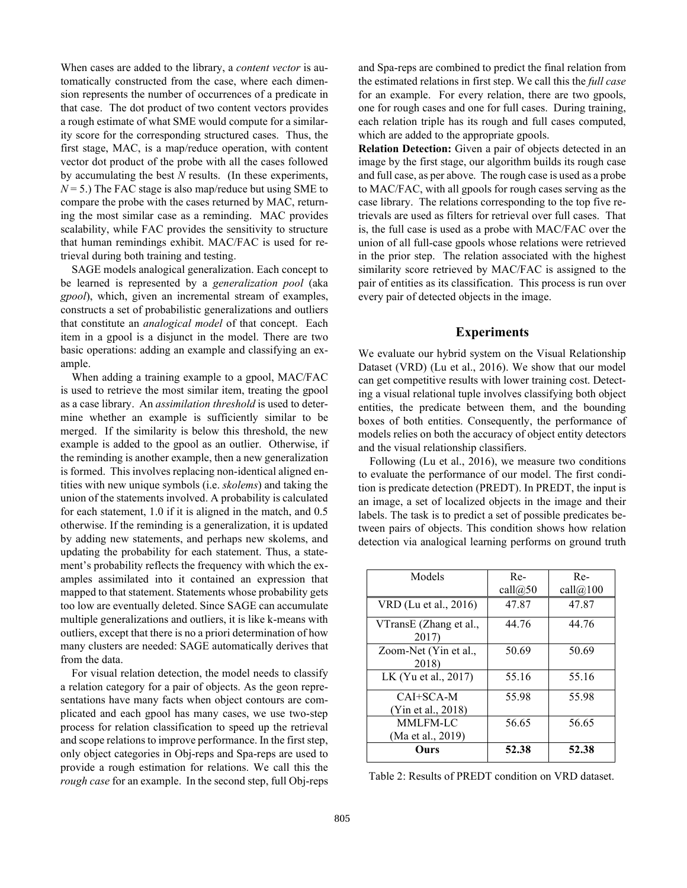When cases are added to the library, a *content vector* is automatically constructed from the case, where each dimension represents the number of occurrences of a predicate in that case. The dot product of two content vectors provides a rough estimate of what SME would compute for a similarity score for the corresponding structured cases. Thus, the first stage, MAC, is a map/reduce operation, with content vector dot product of the probe with all the cases followed by accumulating the best *N* results. (In these experiments,  $N = 5$ .) The FAC stage is also map/reduce but using SME to compare the probe with the cases returned by MAC, returning the most similar case as a reminding. MAC provides scalability, while FAC provides the sensitivity to structure that human remindings exhibit. MAC/FAC is used for retrieval during both training and testing.

SAGE models analogical generalization. Each concept to be learned is represented by a *generalization pool* (aka *gpool*), which, given an incremental stream of examples, constructs a set of probabilistic generalizations and outliers that constitute an *analogical model* of that concept. Each item in a gpool is a disjunct in the model. There are two basic operations: adding an example and classifying an example.

When adding a training example to a gpool, MAC/FAC is used to retrieve the most similar item, treating the gpool as a case library. An *assimilation threshold* is used to determine whether an example is sufficiently similar to be merged. If the similarity is below this threshold, the new example is added to the gpool as an outlier. Otherwise, if the reminding is another example, then a new generalization is formed. This involves replacing non-identical aligned entities with new unique symbols (i.e. *skolems*) and taking the union of the statements involved. A probability is calculated for each statement, 1.0 if it is aligned in the match, and 0.5 otherwise. If the reminding is a generalization, it is updated by adding new statements, and perhaps new skolems, and updating the probability for each statement. Thus, a statement's probability reflects the frequency with which the examples assimilated into it contained an expression that mapped to that statement. Statements whose probability gets too low are eventually deleted. Since SAGE can accumulate multiple generalizations and outliers, it is like k-means with outliers, except that there is no a priori determination of how many clusters are needed: SAGE automatically derives that from the data.

For visual relation detection, the model needs to classify a relation category for a pair of objects. As the geon representations have many facts when object contours are complicated and each gpool has many cases, we use two-step process for relation classification to speed up the retrieval and scope relations to improve performance. In the first step, only object categories in Obj-reps and Spa-reps are used to provide a rough estimation for relations. We call this the *rough case* for an example. In the second step, full Obj-reps

and Spa-reps are combined to predict the final relation from the estimated relations in first step. We call this the *full case* for an example. For every relation, there are two gpools, one for rough cases and one for full cases. During training, each relation triple has its rough and full cases computed, which are added to the appropriate gpools.

**Relation Detection:** Given a pair of objects detected in an image by the first stage, our algorithm builds its rough case and full case, as per above. The rough case is used as a probe to MAC/FAC, with all gpools for rough cases serving as the case library. The relations corresponding to the top five retrievals are used as filters for retrieval over full cases. That is, the full case is used as a probe with MAC/FAC over the union of all full-case gpools whose relations were retrieved in the prior step. The relation associated with the highest similarity score retrieved by MAC/FAC is assigned to the pair of entities as its classification. This process is run over every pair of detected objects in the image.

# **Experiments**

We evaluate our hybrid system on the Visual Relationship Dataset (VRD) (Lu et al., 2016). We show that our model can get competitive results with lower training cost. Detecting a visual relational tuple involves classifying both object entities, the predicate between them, and the bounding boxes of both entities. Consequently, the performance of models relies on both the accuracy of object entity detectors and the visual relationship classifiers.

Following (Lu et al., 2016), we measure two conditions to evaluate the performance of our model. The first condition is predicate detection (PREDT). In PREDT, the input is an image, a set of localized objects in the image and their labels. The task is to predict a set of possible predicates between pairs of objects. This condition shows how relation detection via analogical learning performs on ground truth

| Models                 | Re-        | $Re-$    |
|------------------------|------------|----------|
|                        | call $@50$ | call@100 |
| VRD (Lu et al., 2016)  | 47.87      | 47.87    |
| VTransE (Zhang et al., | 44.76      | 44.76    |
| 2017)                  |            |          |
| Zoom-Net (Yin et al.,  | 50.69      | 50.69    |
| 2018)                  |            |          |
| LK (Yu et al., 2017)   | 55.16      | 55.16    |
| $CAI+SCA-M$            | 55.98      | 55.98    |
| (Yin et al., 2018)     |            |          |
| <b>MMLFM-LC</b>        | 56.65      | 56.65    |
| (Ma et al., 2019)      |            |          |
| Ours                   | 52.38      | 52.38    |

Table 2: Results of PREDT condition on VRD dataset.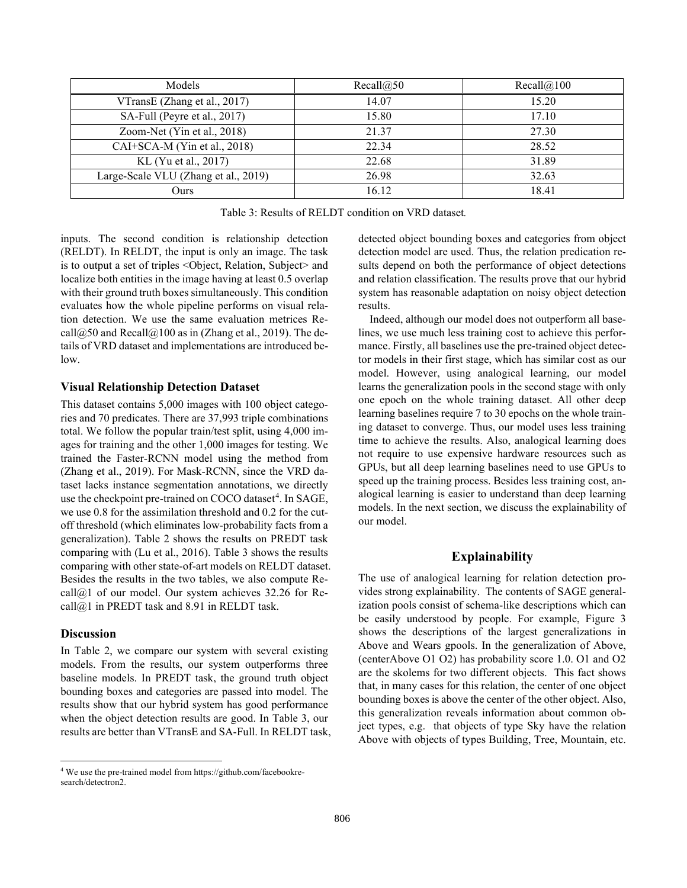| <b>Models</b>                        | Recall@50 | Recall@100 |  |
|--------------------------------------|-----------|------------|--|
| VTransE (Zhang et al., 2017)         | 14.07     | 15.20      |  |
| SA-Full (Peyre et al., 2017)         | 15.80     | 17.10      |  |
| Zoom-Net (Yin et al., 2018)          | 21.37     | 27.30      |  |
| CAI+SCA-M (Yin et al., 2018)         | 22.34     | 28.52      |  |
| KL (Yu et al., 2017)                 | 22.68     | 31.89      |  |
| Large-Scale VLU (Zhang et al., 2019) | 26.98     | 32.63      |  |
| Ours                                 | 16.12     | 18.41      |  |

Table 3: Results of RELDT condition on VRD dataset*.* 

inputs. The second condition is relationship detection (RELDT). In RELDT, the input is only an image. The task is to output a set of triples <Object, Relation, Subject> and localize both entities in the image having at least 0.5 overlap with their ground truth boxes simultaneously. This condition evaluates how the whole pipeline performs on visual relation detection. We use the same evaluation metrices Recall $@50$  and Recall $@100$  as in (Zhang et al., 2019). The details of VRD dataset and implementations are introduced below.

# **Visual Relationship Detection Dataset**

This dataset contains 5,000 images with 100 object categories and 70 predicates. There are 37,993 triple combinations total. We follow the popular train/test split, using 4,000 images for training and the other 1,000 images for testing. We trained the Faster-RCNN model using the method from (Zhang et al., 2019). For Mask-RCNN, since the VRD dataset lacks instance segmentation annotations, we directly use the checkpoint pre-trained on COCO dataset<sup>[4](#page-5-0)</sup>. In SAGE, we use 0.8 for the assimilation threshold and 0.2 for the cutoff threshold (which eliminates low-probability facts from a generalization). Table 2 shows the results on PREDT task comparing with (Lu et al., 2016). Table 3 shows the results comparing with other state-of-art models on RELDT dataset. Besides the results in the two tables, we also compute Recall@1 of our model. Our system achieves 32.26 for Recall@1 in PREDT task and 8.91 in RELDT task.

### **Discussion**

In Table 2, we compare our system with several existing models. From the results, our system outperforms three baseline models. In PREDT task, the ground truth object bounding boxes and categories are passed into model. The results show that our hybrid system has good performance when the object detection results are good. In Table 3, our results are better than VTransE and SA-Full. In RELDT task, detected object bounding boxes and categories from object detection model are used. Thus, the relation predication results depend on both the performance of object detections and relation classification. The results prove that our hybrid system has reasonable adaptation on noisy object detection results.

Indeed, although our model does not outperform all baselines, we use much less training cost to achieve this performance. Firstly, all baselines use the pre-trained object detector models in their first stage, which has similar cost as our model. However, using analogical learning, our model learns the generalization pools in the second stage with only one epoch on the whole training dataset. All other deep learning baselines require 7 to 30 epochs on the whole training dataset to converge. Thus, our model uses less training time to achieve the results. Also, analogical learning does not require to use expensive hardware resources such as GPUs, but all deep learning baselines need to use GPUs to speed up the training process. Besides less training cost, analogical learning is easier to understand than deep learning models. In the next section, we discuss the explainability of our model.

# **Explainability**

The use of analogical learning for relation detection provides strong explainability. The contents of SAGE generalization pools consist of schema-like descriptions which can be easily understood by people. For example, Figure 3 shows the descriptions of the largest generalizations in Above and Wears gpools. In the generalization of Above, (centerAbove O1 O2) has probability score 1.0. O1 and O2 are the skolems for two different objects. This fact shows that, in many cases for this relation, the center of one object bounding boxes is above the center of the other object. Also, this generalization reveals information about common object types, e.g. that objects of type Sky have the relation Above with objects of types Building, Tree, Mountain, etc.

<span id="page-5-0"></span><sup>4</sup> We use the pre-trained model from https://github.com/facebookresearch/detectron2.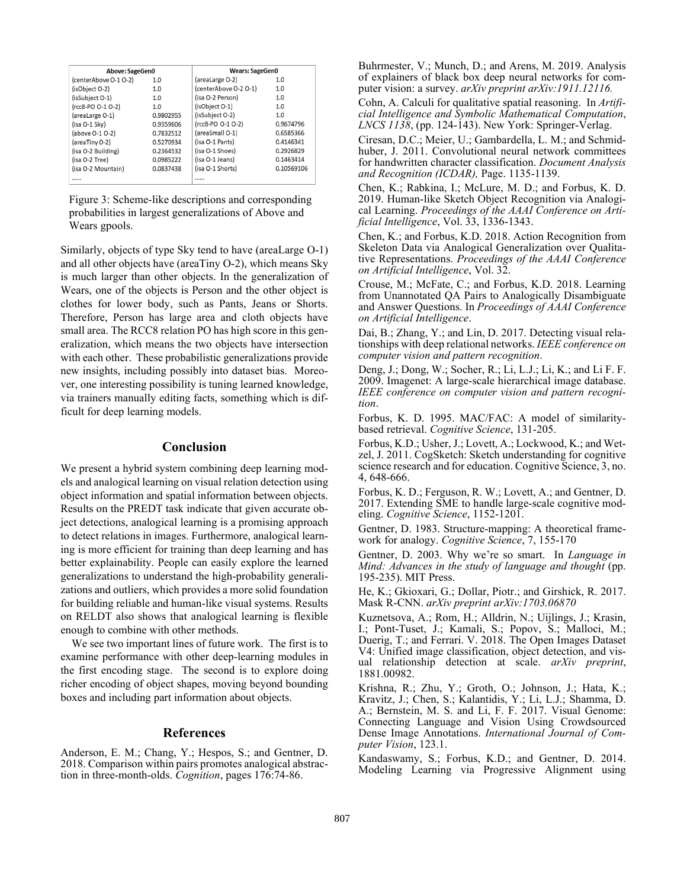| Above: SageGen0       |           | <b>Wears: SageGen0</b> |            |
|-----------------------|-----------|------------------------|------------|
| (centerAbove O-1 O-2) | 1.0       | (areaLarge O-2)        | 1.0        |
| (isObiect O-2)        | 1.0       | (centerAbove O-2 O-1)  | 1.0        |
| (isSubject O-1)       | 1.0       | (isa O-2 Person)       | 1.0        |
| (rcc8-PO O-1 O-2)     | 1.0       | (isObject O-1)         | 1.0        |
| (areaLarge O-1)       | 0.9802955 | (isSubject O-2)        | 1.0        |
| (isa O-1 Sky)         | 0.9359606 | (rcc8-PO O-1 O-2)      | 0.9674796  |
| (above 0-1 0-2)       | 0.7832512 | (areaSmall O-1)        | 0.6585366  |
| (areaTinyO-2)         | 0.5270934 | (isa O-1 Pants)        | 0.4146341  |
| (isa O-2 Building)    | 0.2364532 | (isa O-1 Shoes)        | 0.2926829  |
| (isa O-2 Tree)        | 0.0985222 | (isa O-1 Jeans)        | 0.1463414  |
| (isa O-2 Mountain)    | 0.0837438 | (isa O-1 Shorts)       | 0.10569106 |
|                       |           |                        |            |

Figure 3: Scheme-like descriptions and corresponding probabilities in largest generalizations of Above and Wears gpools.

Similarly, objects of type Sky tend to have (areaLarge O-1) and all other objects have (areaTiny O-2), which means Sky is much larger than other objects. In the generalization of Wears, one of the objects is Person and the other object is clothes for lower body, such as Pants, Jeans or Shorts. Therefore, Person has large area and cloth objects have small area. The RCC8 relation PO has high score in this generalization, which means the two objects have intersection with each other. These probabilistic generalizations provide new insights, including possibly into dataset bias. Moreover, one interesting possibility is tuning learned knowledge, via trainers manually editing facts, something which is difficult for deep learning models.

## **Conclusion**

We present a hybrid system combining deep learning models and analogical learning on visual relation detection using object information and spatial information between objects. Results on the PREDT task indicate that given accurate object detections, analogical learning is a promising approach to detect relations in images. Furthermore, analogical learning is more efficient for training than deep learning and has better explainability. People can easily explore the learned generalizations to understand the high-probability generalizations and outliers, which provides a more solid foundation for building reliable and human-like visual systems. Results on RELDT also shows that analogical learning is flexible enough to combine with other methods.

 We see two important lines of future work. The first is to examine performance with other deep-learning modules in the first encoding stage. The second is to explore doing richer encoding of object shapes, moving beyond bounding boxes and including part information about objects.

## **References**

Anderson, E. M.; Chang, Y.; Hespos, S.; and Gentner, D. 2018. Comparison within pairs promotes analogical abstraction in three-month-olds. *Cognition*, pages 176:74-86.

Buhrmester, V.; Munch, D.; and Arens, M. 2019. Analysis of explainers of black box deep neural networks for computer vision: a survey. *arXiv preprint arXiv:1911.12116.*

Cohn, A. Calculi for qualitative spatial reasoning. In *Artificial Intelligence and Symbolic Mathematical Computation*, *LNCS 1138*, (pp. 124-143). New York: Springer-Verlag.

Ciresan, D.C.; Meier, U.; Gambardella, L. M.; and Schmidhuber, J. 2011. Convolutional neural network committees for handwritten character classification. *Document Analysis and Recognition (ICDAR),* Page. 1135-1139.

Chen, K.; Rabkina, I.; McLure, M. D.; and Forbus, K. D. 2019. Human-like Sketch Object Recognition via Analogical Learning. *Proceedings of the AAAI Conference on Artificial Intelligence*, Vol. 33, 1336-1343.

Chen, K.; and Forbus, K.D. 2018. Action Recognition from Skeleton Data via Analogical Generalization over Qualitative Representations. *Proceedings of the AAAI Conference on Artificial Intelligence*, Vol. 32.

Crouse, M.; McFate, C.; and Forbus, K.D. 2018. Learning from Unannotated QA Pairs to Analogically Disambiguate and Answer Questions. In *Proceedings of AAAI Conference on Artificial Intelligence*.

Dai, B.; Zhang, Y.; and Lin, D. 2017. Detecting visual relationships with deep relational networks. *IEEE conference on computer vision and pattern recognition*.

Deng, J.; Dong, W.; Socher, R.; Li, L.J.; Li, K.; and Li F. F. 2009. Imagenet: A large-scale hierarchical image database. *IEEE conference on computer vision and pattern recognition*.

Forbus, K. D. 1995. MAC/FAC: A model of similaritybased retrieval. *Cognitive Science*, 131-205.

Forbus, K.D.; Usher, J.; Lovett, A.; Lockwood, K.; and Wetzel, J. 2011. CogSketch: Sketch understanding for cognitive science research and for education. Cognitive Science, 3, no. 4, 648-666.

Forbus, K. D.; Ferguson, R. W.; Lovett, A.; and Gentner, D. 2017. Extending SME to handle large-scale cognitive modeling. *Cognitive Science*, 1152-1201.

Gentner, D. 1983. Structure-mapping: A theoretical framework for analogy. *Cognitive Science*, 7, 155-170

Gentner, D. 2003. Why we're so smart. In *Language in Mind: Advances in the study of language and thought* (pp. 195-235). MIT Press.

He, K.; Gkioxari, G.; Dollar, Piotr.; and Girshick, R. 2017. Mask R-CNN. *arXiv preprint arXiv:1703.06870*

Kuznetsova, A.; Rom, H.; Alldrin, N.; Uijlings, J.; Krasin, I.; Pont-Tuset, J.; Kamali, S.; Popov, S.; Malloci, M.; Duerig, T.; and Ferrari. V. 2018. The Open Images Dataset V4: Unified image classification, object detection, and visual relationship detection at scale. *arXiv preprint*, 1881.00982.

Krishna, R.; Zhu, Y.; Groth, O.; Johnson, J.; Hata, K.; Kravitz, J.; Chen, S.; Kalantidis, Y.; Li, L.J.; Shamma, D. A.; Bernstein, M. S. and Li, F. F. 2017. Visual Genome: Connecting Language and Vision Using Crowdsourced Dense Image Annotations. *International Journal of Computer Vision*, 123.1.

Kandaswamy, S.; Forbus, K.D.; and Gentner, D. 2014. Modeling Learning via Progressive Alignment using